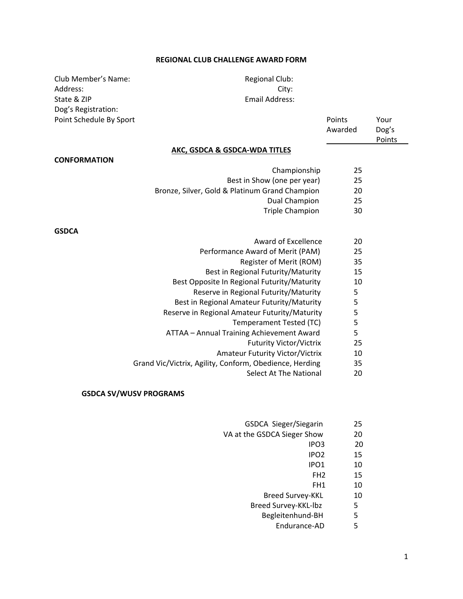## **REGIONAL CLUB CHALLENGE AWARD FORM**

| Club Member's Name:     | <b>Regional Club:</b> |
|-------------------------|-----------------------|
| Address:                | City:                 |
| State & ZIP             | Email Address         |
| Dog's Registration:     |                       |
| Point Schedule By Sport |                       |

Regional Club: Email Address:

| Point Schedule By Sport | <b>Points</b> | Your   |
|-------------------------|---------------|--------|
|                         | Awarded       | Dog's  |
|                         |               | Points |

### **AKC, GSDCA & GSDCA‐WDA TITLES**

#### **CONFORMATION**

- Championship 25 Best in Show (one per year) 25 Bronze, Silver, Gold & Platinum Grand Champion 20
	- Dual Champion 25
		- Triple Champion 30

#### **GSDCA**

- Award of Excellence 20
- Performance Award of Merit (PAM) 25
	- Register of Merit (ROM) 35
	- Best in Regional Futurity/Maturity 15
- Best Opposite In Regional Futurity/Maturity 10
	- Reserve in Regional Futurity/Maturity 5
- Best in Regional Amateur Futurity/Maturity 5
- Reserve in Regional Amateur Futurity/Maturity 5
	- Temperament Tested (TC) 5
- ATTAA Annual Training Achievement Award 5
	- Futurity Victor/Victrix 25
	- Amateur Futurity Victor/Victrix 10
- Grand Vic/Victrix, Agility, Conform, Obedience, Herding 35
	- Select At The National 20

## **GSDCA SV/WUSV PROGRAMS**

- GSDCA Sieger/Siegarin 25
- VA at the GSDCA Sieger Show 20
- $IPO3$   $20$
- **IPO2** 15
- **IPO1** 10
- FH2 15
	- FH1 10
	- Breed Survey-KKL 10
	- Breed Survey-KKL-lbz 5
	- Begleitenhund-BH 5
		- Endurance-AD 5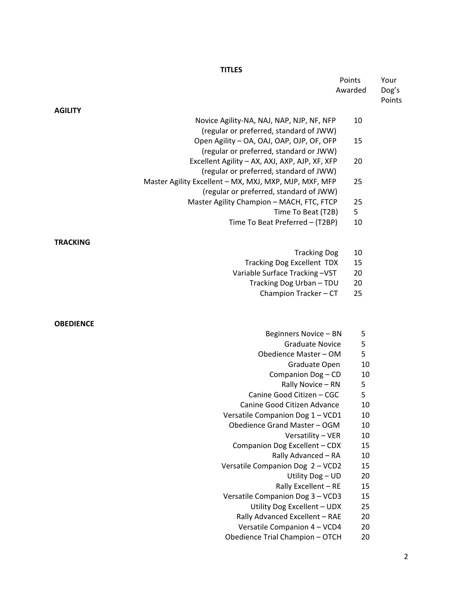# **TITLES**

|                                                        | Points   | Your            |
|--------------------------------------------------------|----------|-----------------|
|                                                        | Awarded  | Dog's<br>Points |
| <b>AGILITY</b>                                         |          |                 |
| Novice Agility-NA, NAJ, NAP, NJP, NF, NFP              | 10       |                 |
| (regular or preferred, standard of JWW)                |          |                 |
| Open Agility - OA, OAJ, OAP, OJP, OF, OFP              | 15       |                 |
| (regular or preferred, standard or JWW)                |          |                 |
| Excellent Agility - AX, AXJ, AXP, AJP, XF, XFP         | 20       |                 |
| (regular or preferred, standard of JWW)                |          |                 |
| Master Agility Excellent - MX, MXJ, MXP, MJP, MXF, MFP | 25       |                 |
| (regular or preferred, standard of JWW)                |          |                 |
| Master Agility Champion - MACH, FTC, FTCP              | 25       |                 |
| Time To Beat (T2B)                                     | 5        |                 |
| Time To Beat Preferred - (T2BP)                        | 10       |                 |
| <b>TRACKING</b>                                        |          |                 |
| <b>Tracking Dog</b>                                    | 10       |                 |
| <b>Tracking Dog Excellent TDX</b>                      | 15       |                 |
| Variable Surface Tracking-VST                          | 20       |                 |
| Tracking Dog Urban - TDU                               | 20       |                 |
| Champion Tracker - CT                                  | 25       |                 |
|                                                        |          |                 |
| <b>OBEDIENCE</b>                                       |          |                 |
| Beginners Novice - BN                                  | 5        |                 |
| <b>Graduate Novice</b>                                 | 5        |                 |
| Obedience Master - OM                                  | 5        |                 |
| Graduate Open                                          | 10       |                 |
| Companion Dog - CD                                     | 10       |                 |
| Rally Novice - RN                                      | 5        |                 |
| Canine Good Citizen - CGC                              | 5        |                 |
| Canine Good Citizen Advance                            | 10       |                 |
| Versatile Companion Dog 1 - VCD1                       | 10       |                 |
| Obedience Grand Master - OGM                           | 10       |                 |
| Versatility - VER                                      | 10<br>15 |                 |
| Companion Dog Excellent - CDX<br>Rally Advanced - RA   | 10       |                 |
| Versatile Companion Dog 2 - VCD2                       | 15       |                 |
| Utility Dog - UD                                       | 20       |                 |
| Rally Excellent - RE                                   | 15       |                 |
|                                                        |          |                 |

- Versatile Companion Dog 3 VCD3 15
	- Utility Dog Excellent UDX 25<br>y Advanced Excellent RAE 20
	- Rally Advanced Excellent RAE
	- Versatile Companion 4 VCD4 20<br>edience Trial Champion OTCH 20
- Obedience Trial Champion OTCH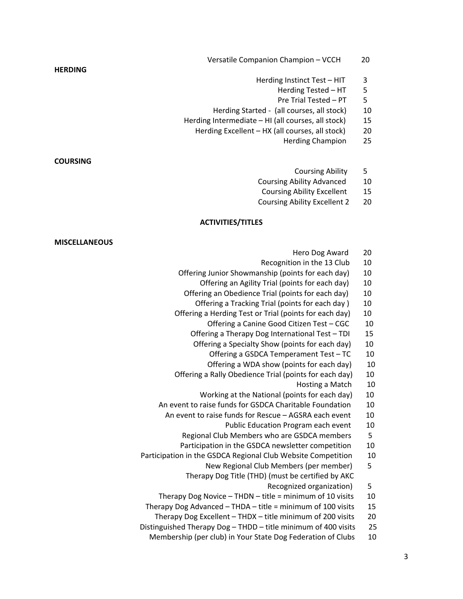- Versatile Companion Champion VCCH 20
	- Herding Instinct Test HIT 3
		- Herding Tested HT 5
		- Pre Trial Tested PT 5
- Herding Started ‐ (all courses, all stock) 10
- Herding Intermediate HI (all courses, all stock) 15
	- Herding Excellent HX (all courses, all stock) 20
		- Herding Champion 25

**COURSING**

**HERDING**

- Coursing Ability 5
- Coursing Ability Advanced 10
- Coursing Ability Excellent 15
- Coursing Ability Excellent 2 20

## **ACTIVITIES/TITLES**

| Hero Dog Award                                               | 20     |
|--------------------------------------------------------------|--------|
| Recognition in the 13 Club                                   | 10     |
| Offering Junior Showmanship (points for each day)            | 10     |
| Offering an Agility Trial (points for each day)              | 10     |
| Offering an Obedience Trial (points for each day)            | 10     |
| Offering a Tracking Trial (points for each day)              | 10     |
| Offering a Herding Test or Trial (points for each day)       | 10     |
| Offering a Canine Good Citizen Test - CGC                    | 10     |
| Offering a Therapy Dog International Test - TDI              | 15     |
| Offering a Specialty Show (points for each day)              | 10     |
| Offering a GSDCA Temperament Test - TC                       | 10     |
| Offering a WDA show (points for each day)                    | 10     |
| Offering a Rally Obedience Trial (points for each day)       | 10     |
| Hosting a Match                                              | 10     |
| Working at the National (points for each day)                | $10\,$ |
| An event to raise funds for GSDCA Charitable Foundation      | 10     |
| An event to raise funds for Rescue - AGSRA each event        | 10     |
| Public Education Program each event                          | 10     |
| Regional Club Members who are GSDCA members                  | 5      |
| Participation in the GSDCA newsletter competition            | 10     |
| Participation in the GSDCA Regional Club Website Competition | 10     |
| New Regional Club Members (per member)                       | 5      |
| Therapy Dog Title (THD) (must be certified by AKC            |        |
| Recognized organization)                                     | 5      |
| Therapy Dog Novice $-$ THDN $-$ title = minimum of 10 visits | 10     |
|                                                              |        |

- Therapy Dog Advanced THDA title = minimum of 100 visits 15
- Therapy Dog Excellent THDX title minimum of 200 visits 20
- Distinguished Therapy Dog THDD title minimum of 400 visits 25
	- Membership (per club) in Your State Dog Federation of Clubs 10